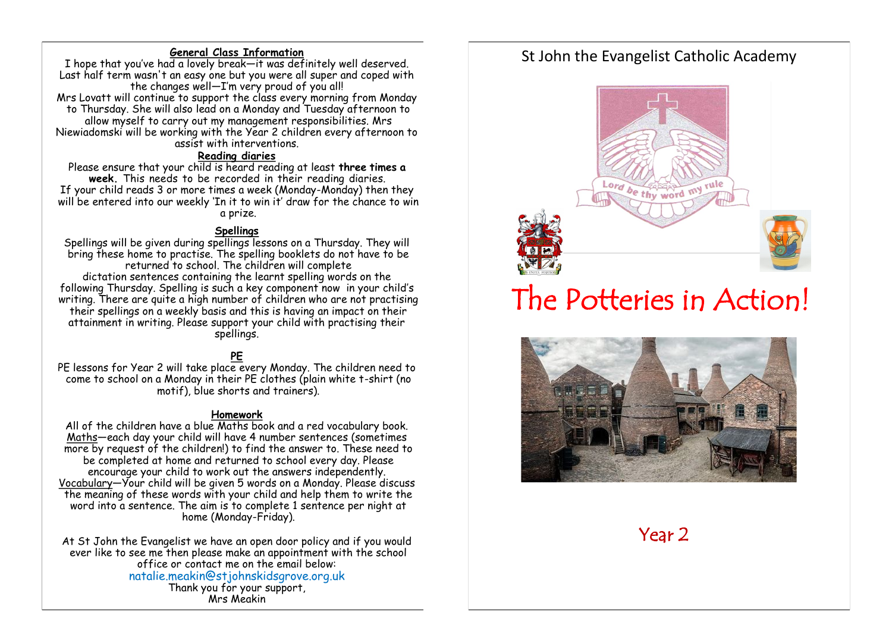#### **General Class Information**

I hope that you've had a lovely break—it was definitely well deserved. Last half term wasn't an easy one but you were all super and coped with the changes well—I'm very proud of you all! Mrs Lovatt will continue to support the class every morning from Monday to Thursday. She will also lead on a Monday and Tuesday afternoon to allow myself to carry out my management responsibilities. Mrs Niewiadomski will be working with the Year 2 children every afternoon to assist with interventions.

#### **Reading diaries**

Please ensure that your child is heard reading at least **three times a week.** This needs to be recorded in their reading diaries. If your child reads 3 or more times a week (Monday-Monday) then they will be entered into our weekly 'In it to win it' draw for the chance to win a prize.

#### **Spellings**

Spellings will be given during spellings lessons on a Thursday. They will bring these home to practise. The spelling booklets do not have to be returned to school. The children will complete dictation sentences containing the learnt spelling words on the following Thursday. Spelling is such a key component now in your child's writing. There are quite a high number of children who are not practising their spellings on a weekly basis and this is having an impact on their attainment in writing. Please support your child with practising their spellings.

# **PE**

PE lessons for Year 2 will take place every Monday. The children need to come to school on a Monday in their PE clothes (plain white t-shirt (no motif), blue shorts and trainers).

#### **Homework**

All of the children have a blue Maths book and a red vocabulary book. Maths—each day your child will have 4 number sentences (sometimes more by request of the children!) to find the answer to. These need to be completed at home and returned to school every day. Please encourage your child to work out the answers independently. Vocabulary—Your child will be given 5 words on a Monday. Please discuss the meaning of these words with your child and help them to write the word into a sentence. The aim is to complete 1 sentence per night at home (Monday-Friday).

At St John the Evangelist we have an open door policy and if you would ever like to see me then please make an appointment with the school office or contact me on the email below: natalie.meakin@stjohnskidsgrove.org.uk Thank you for your support,

Mrs Meakin

# St John the Evangelist Catholic Academy



# The Potteries in Action!



Year 2